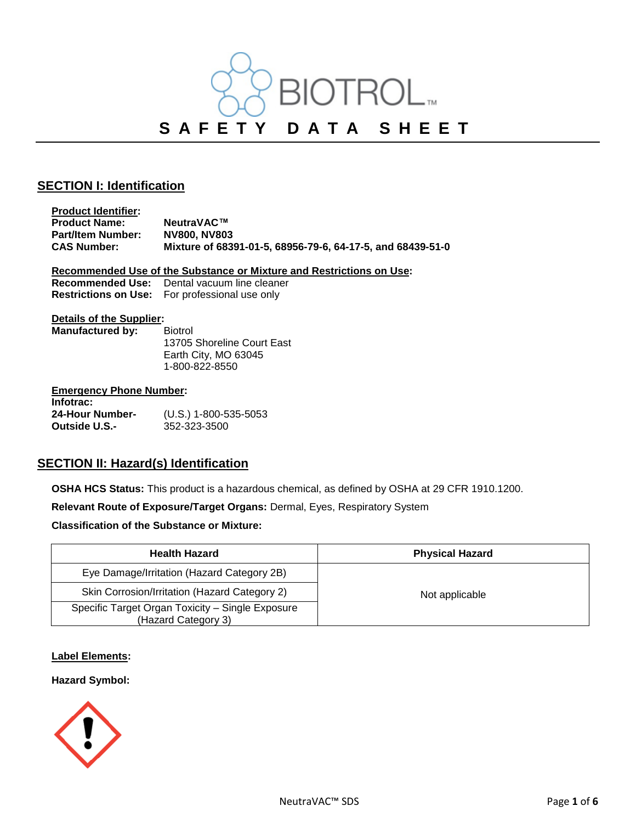

## **SECTION I: Identification**

**Product Identifier: Product Name: NeutraVAC™**<br>**Part/Item Number: NV800, NV803 Part/Item Number:**<br>**CAS Number: CAS Number: Mixture of 68391-01-5, 68956-79-6, 64-17-5, and 68439-51-0**

**Recommended Use of the Substance or Mixture and Restrictions on Use:**

| <b>Recommended Use:</b>     | Dental vacuum line cleaner |
|-----------------------------|----------------------------|
| <b>Restrictions on Use:</b> | For professional use only  |

#### **Details of the Supplier:**

| Manufactured by: | <b>Biotrol</b>             |
|------------------|----------------------------|
|                  | 13705 Shoreline Court East |
|                  | Earth City, MO 63045       |
|                  | 1-800-822-8550             |
|                  |                            |

### **Emergency Phone Number:**

| Infotrac:       |                         |
|-----------------|-------------------------|
| 24-Hour Number- | $(U.S.)$ 1-800-535-5053 |
| Outside U.S.-   | 352-323-3500            |

## **SECTION II: Hazard(s) Identification**

**OSHA HCS Status:** This product is a hazardous chemical, as defined by OSHA at 29 CFR 1910.1200.

**Relevant Route of Exposure/Target Organs:** Dermal, Eyes, Respiratory System

**Classification of the Substance or Mixture:**

| <b>Health Hazard</b>                                                    | <b>Physical Hazard</b> |
|-------------------------------------------------------------------------|------------------------|
| Eye Damage/Irritation (Hazard Category 2B)                              |                        |
| Skin Corrosion/Irritation (Hazard Category 2)                           | Not applicable         |
| Specific Target Organ Toxicity - Single Exposure<br>(Hazard Category 3) |                        |

### **Label Elements:**

**Hazard Symbol:** 

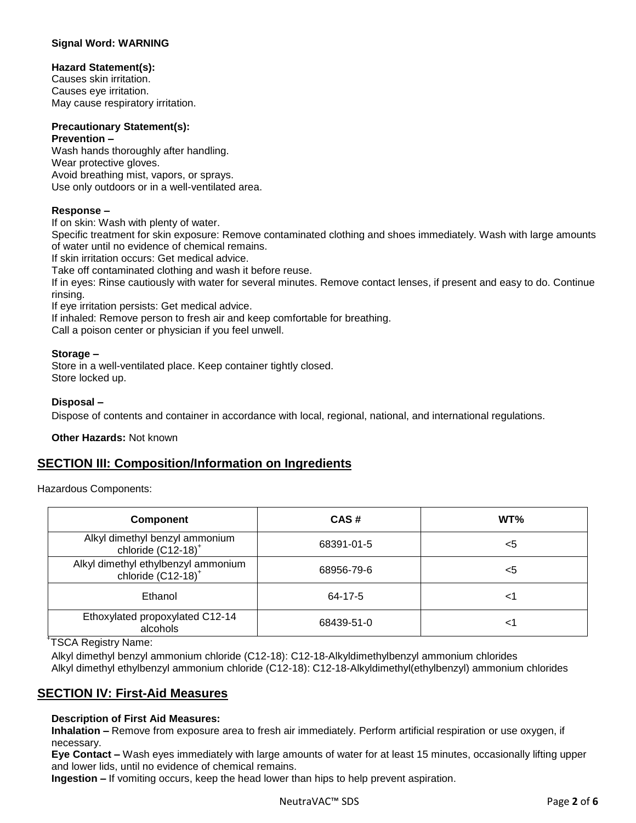### **Signal Word: WARNING**

### **Hazard Statement(s):**

Causes skin irritation. Causes eye irritation. May cause respiratory irritation.

#### **Precautionary Statement(s): Prevention –**

Wash hands thoroughly after handling. Wear protective gloves. Avoid breathing mist, vapors, or sprays. Use only outdoors or in a well-ventilated area.

### **Response –**

If on skin: Wash with plenty of water.

Specific treatment for skin exposure: Remove contaminated clothing and shoes immediately. Wash with large amounts of water until no evidence of chemical remains.

If skin irritation occurs: Get medical advice.

Take off contaminated clothing and wash it before reuse.

If in eyes: Rinse cautiously with water for several minutes. Remove contact lenses, if present and easy to do. Continue rinsing.

If eye irritation persists: Get medical advice.

If inhaled: Remove person to fresh air and keep comfortable for breathing.

Call a poison center or physician if you feel unwell.

### **Storage –**

Store in a well-ventilated place. Keep container tightly closed. Store locked up.

### **Disposal –**

Dispose of contents and container in accordance with local, regional, national, and international regulations.

**Other Hazards:** Not known

## **SECTION III: Composition/Information on Ingredients**

Hazardous Components:

| <b>Component</b>                                                 | CAS#       | WT% |
|------------------------------------------------------------------|------------|-----|
| Alkyl dimethyl benzyl ammonium<br>chloride (C12-18) <sup>+</sup> | 68391-01-5 | <5  |
| Alkyl dimethyl ethylbenzyl ammonium<br>chloride $(C12-18)^+$     | 68956-79-6 | <5  |
| Ethanol                                                          | 64-17-5    | <1  |
| Ethoxylated propoxylated C12-14<br>alcohols                      | 68439-51-0 | <1  |

+ TSCA Registry Name:

Alkyl dimethyl benzyl ammonium chloride (C12-18): C12-18-Alkyldimethylbenzyl ammonium chlorides Alkyl dimethyl ethylbenzyl ammonium chloride (C12-18): C12-18-Alkyldimethyl(ethylbenzyl) ammonium chlorides

## **SECTION IV: First-Aid Measures**

### **Description of First Aid Measures:**

**Inhalation –** Remove from exposure area to fresh air immediately. Perform artificial respiration or use oxygen, if necessary.

**Eye Contact –** Wash eyes immediately with large amounts of water for at least 15 minutes, occasionally lifting upper and lower lids, until no evidence of chemical remains.

**Ingestion –** If vomiting occurs, keep the head lower than hips to help prevent aspiration.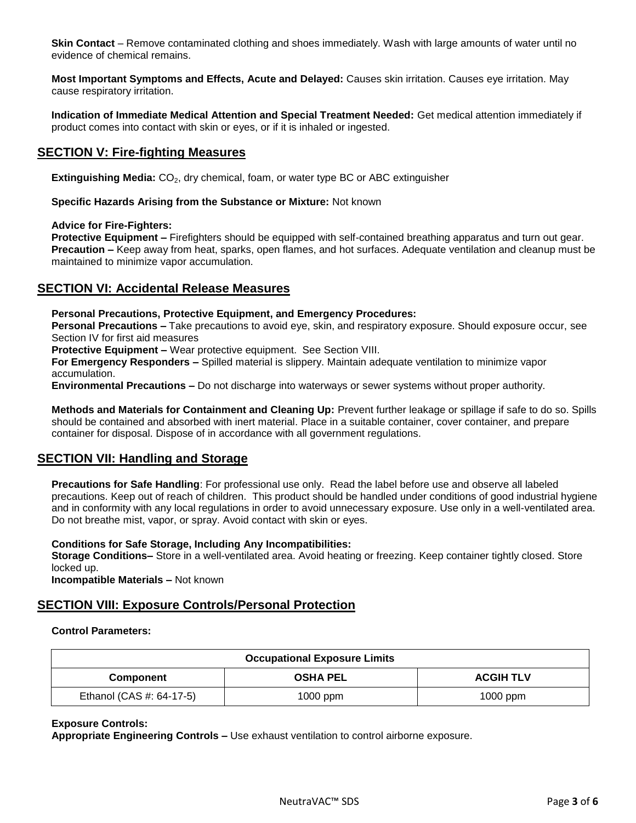**Skin Contact** – Remove contaminated clothing and shoes immediately. Wash with large amounts of water until no evidence of chemical remains.

**Most Important Symptoms and Effects, Acute and Delayed:** Causes skin irritation. Causes eye irritation. May cause respiratory irritation.

**Indication of Immediate Medical Attention and Special Treatment Needed:** Get medical attention immediately if product comes into contact with skin or eyes, or if it is inhaled or ingested.

## **SECTION V: Fire-fighting Measures**

**Extinguishing Media:** CO<sub>2</sub>, dry chemical, foam, or water type BC or ABC extinguisher

**Specific Hazards Arising from the Substance or Mixture:** Not known

### **Advice for Fire-Fighters:**

**Protective Equipment –** Firefighters should be equipped with self-contained breathing apparatus and turn out gear. **Precaution –** Keep away from heat, sparks, open flames, and hot surfaces. Adequate ventilation and cleanup must be maintained to minimize vapor accumulation.

### **SECTION VI: Accidental Release Measures**

**Personal Precautions, Protective Equipment, and Emergency Procedures:** 

**Personal Precautions –** Take precautions to avoid eye, skin, and respiratory exposure. Should exposure occur, see Section IV for first aid measures

**Protective Equipment –** Wear protective equipment. See Section VIII.

**For Emergency Responders –** Spilled material is slippery. Maintain adequate ventilation to minimize vapor accumulation.

**Environmental Precautions –** Do not discharge into waterways or sewer systems without proper authority.

**Methods and Materials for Containment and Cleaning Up:** Prevent further leakage or spillage if safe to do so. Spills should be contained and absorbed with inert material. Place in a suitable container, cover container, and prepare container for disposal. Dispose of in accordance with all government regulations.

## **SECTION VII: Handling and Storage**

**Precautions for Safe Handling**: For professional use only. Read the label before use and observe all labeled precautions. Keep out of reach of children. This product should be handled under conditions of good industrial hygiene and in conformity with any local regulations in order to avoid unnecessary exposure. Use only in a well-ventilated area. Do not breathe mist, vapor, or spray. Avoid contact with skin or eyes.

**Conditions for Safe Storage, Including Any Incompatibilities:**

**Storage Conditions–** Store in a well-ventilated area. Avoid heating or freezing. Keep container tightly closed. Store locked up.

**Incompatible Materials –** Not known

## **SECTION VIII: Exposure Controls/Personal Protection**

### **Control Parameters:**

| <b>Occupational Exposure Limits</b> |                 |                  |
|-------------------------------------|-----------------|------------------|
| <b>Component</b>                    | <b>OSHA PEL</b> | <b>ACGIH TLV</b> |
| Ethanol (CAS #: 64-17-5)            | $1000$ ppm      | 1000 ppm         |

### **Exposure Controls:**

**Appropriate Engineering Controls –** Use exhaust ventilation to control airborne exposure.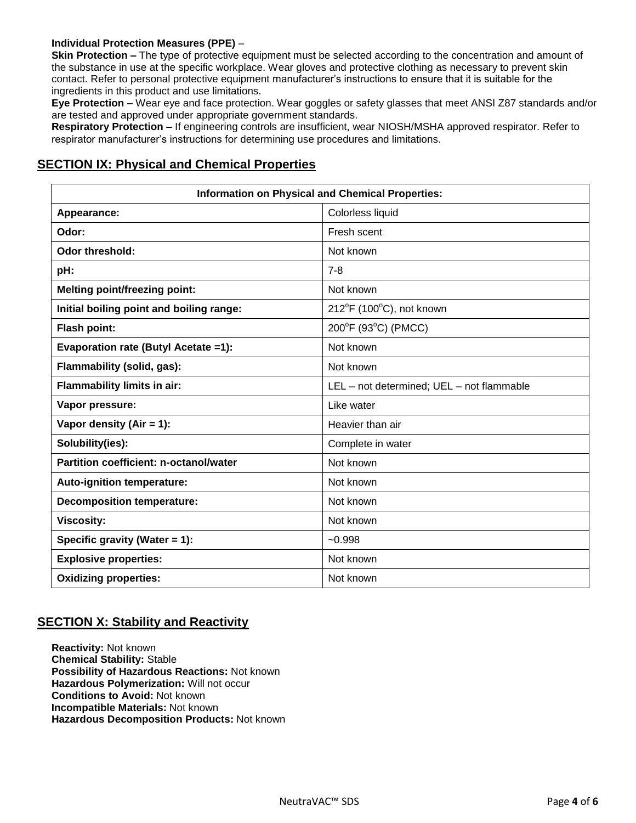### **Individual Protection Measures (PPE)** –

**Skin Protection –** The type of protective equipment must be selected according to the concentration and amount of the substance in use at the specific workplace. Wear gloves and protective clothing as necessary to prevent skin contact. Refer to personal protective equipment manufacturer's instructions to ensure that it is suitable for the ingredients in this product and use limitations.

**Eye Protection –** Wear eye and face protection. Wear goggles or safety glasses that meet ANSI Z87 standards and/or are tested and approved under appropriate government standards.

**Respiratory Protection –** If engineering controls are insufficient, wear NIOSH/MSHA approved respirator. Refer to respirator manufacturer's instructions for determining use procedures and limitations.

## **SECTION IX: Physical and Chemical Properties**

|                                               | <b>Information on Physical and Chemical Properties:</b> |
|-----------------------------------------------|---------------------------------------------------------|
| Appearance:                                   | Colorless liquid                                        |
| Odor:                                         | Fresh scent                                             |
| <b>Odor threshold:</b>                        | Not known                                               |
| pH:                                           | $7 - 8$                                                 |
| <b>Melting point/freezing point:</b>          | Not known                                               |
| Initial boiling point and boiling range:      | $212^{\circ}$ F (100 $^{\circ}$ C), not known           |
| Flash point:                                  | 200°F (93°C) (PMCC)                                     |
| Evaporation rate (Butyl Acetate =1):          | Not known                                               |
| Flammability (solid, gas):                    | Not known                                               |
| Flammability limits in air:                   | LEL - not determined; UEL - not flammable               |
| Vapor pressure:                               | Like water                                              |
| Vapor density (Air = $1$ ):                   | Heavier than air                                        |
| Solubility(ies):                              | Complete in water                                       |
| <b>Partition coefficient: n-octanol/water</b> | Not known                                               |
| Auto-ignition temperature:                    | Not known                                               |
| <b>Decomposition temperature:</b>             | Not known                                               |
| <b>Viscosity:</b>                             | Not known                                               |
| Specific gravity (Water $= 1$ ):              | $-0.998$                                                |
| <b>Explosive properties:</b>                  | Not known                                               |
| <b>Oxidizing properties:</b>                  | Not known                                               |

## **SECTION X: Stability and Reactivity**

**Reactivity:** Not known **Chemical Stability:** Stable **Possibility of Hazardous Reactions:** Not known **Hazardous Polymerization:** Will not occur **Conditions to Avoid:** Not known **Incompatible Materials:** Not known **Hazardous Decomposition Products:** Not known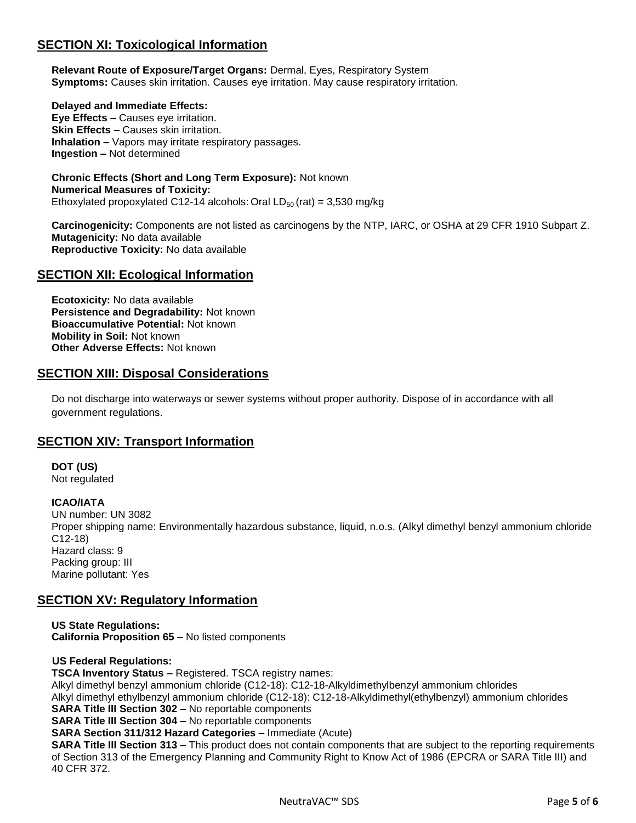# **SECTION XI: Toxicological Information**

**Relevant Route of Exposure/Target Organs:** Dermal, Eyes, Respiratory System **Symptoms:** Causes skin irritation. Causes eye irritation. May cause respiratory irritation.

**Delayed and Immediate Effects: Eye Effects –** Causes eye irritation. **Skin Effects –** Causes skin irritation. **Inhalation –** Vapors may irritate respiratory passages. **Ingestion –** Not determined

**Chronic Effects (Short and Long Term Exposure):** Not known **Numerical Measures of Toxicity:**  Ethoxylated propoxylated C12-14 alcohols: Oral  $LD_{50}$  (rat) = 3,530 mg/kg

**Carcinogenicity:** Components are not listed as carcinogens by the NTP, IARC, or OSHA at 29 CFR 1910 Subpart Z. **Mutagenicity:** No data available **Reproductive Toxicity:** No data available

## **SECTION XII: Ecological Information**

**Ecotoxicity:** No data available **Persistence and Degradability:** Not known **Bioaccumulative Potential:** Not known **Mobility in Soil:** Not known **Other Adverse Effects:** Not known

## **SECTION XIII: Disposal Considerations**

Do not discharge into waterways or sewer systems without proper authority. Dispose of in accordance with all government regulations.

## **SECTION XIV: Transport Information**

**DOT (US)** Not regulated

**ICAO/IATA**

UN number: UN 3082 Proper shipping name: Environmentally hazardous substance, liquid, n.o.s. (Alkyl dimethyl benzyl ammonium chloride C12-18) Hazard class: 9 Packing group: III Marine pollutant: Yes

## **SECTION XV: Regulatory Information**

**US State Regulations: California Proposition 65 –** No listed components

**US Federal Regulations:** 

**TSCA Inventory Status –** Registered. TSCA registry names:

Alkyl dimethyl benzyl ammonium chloride (C12-18): C12-18-Alkyldimethylbenzyl ammonium chlorides Alkyl dimethyl ethylbenzyl ammonium chloride (C12-18): C12-18-Alkyldimethyl(ethylbenzyl) ammonium chlorides

**SARA Title III Section 302 –** No reportable components

**SARA Title III Section 304 –** No reportable components

**SARA Section 311/312 Hazard Categories –** Immediate (Acute)

**SARA Title III Section 313 –** This product does not contain components that are subject to the reporting requirements of Section 313 of the Emergency Planning and Community Right to Know Act of 1986 (EPCRA or SARA Title III) and 40 CFR 372.